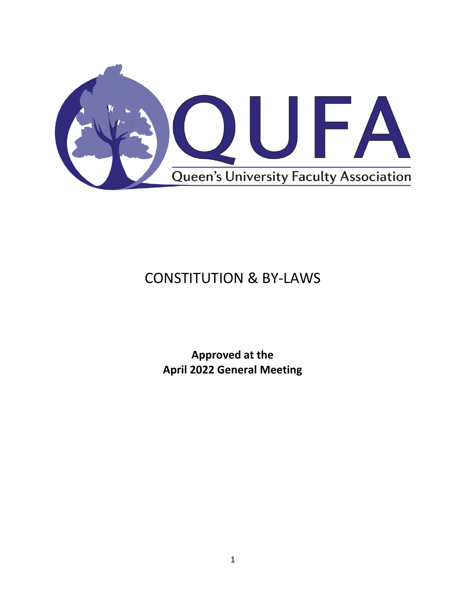

# CONSTITUTION & BY-LAWS

**Approved at the April 2022 General Meeting**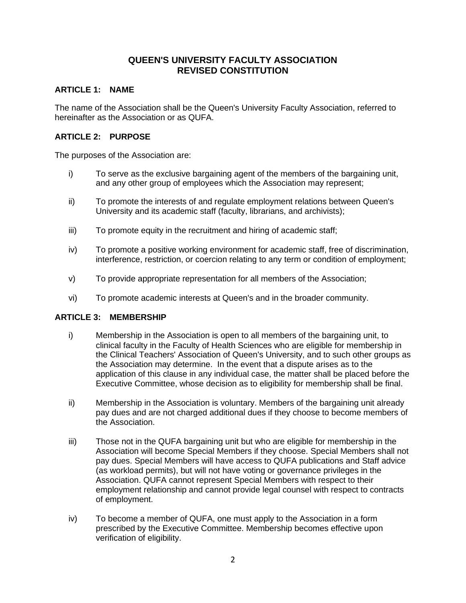# **QUEEN'S UNIVERSITY FACULTY ASSOCIATION REVISED CONSTITUTION**

# **ARTICLE 1: NAME**

The name of the Association shall be the Queen's University Faculty Association, referred to hereinafter as the Association or as QUFA.

#### **ARTICLE 2: PURPOSE**

The purposes of the Association are:

- i) To serve as the exclusive bargaining agent of the members of the bargaining unit, and any other group of employees which the Association may represent;
- ii) To promote the interests of and regulate employment relations between Queen's University and its academic staff (faculty, librarians, and archivists);
- iii) To promote equity in the recruitment and hiring of academic staff;
- iv) To promote a positive working environment for academic staff, free of discrimination, interference, restriction, or coercion relating to any term or condition of employment;
- v) To provide appropriate representation for all members of the Association;
- vi) To promote academic interests at Queen's and in the broader community.

## **ARTICLE 3: MEMBERSHIP**

- i) Membership in the Association is open to all members of the bargaining unit, to clinical faculty in the Faculty of Health Sciences who are eligible for membership in the Clinical Teachers' Association of Queen's University, and to such other groups as the Association may determine. In the event that a dispute arises as to the application of this clause in any individual case, the matter shall be placed before the Executive Committee, whose decision as to eligibility for membership shall be final.
- ii) Membership in the Association is voluntary. Members of the bargaining unit already pay dues and are not charged additional dues if they choose to become members of the Association.
- iii) Those not in the QUFA bargaining unit but who are eligible for membership in the Association will become Special Members if they choose. Special Members shall not pay dues. Special Members will have access to QUFA publications and Staff advice (as workload permits), but will not have voting or governance privileges in the Association. QUFA cannot represent Special Members with respect to their employment relationship and cannot provide legal counsel with respect to contracts of employment.
- iv) To become a member of QUFA, one must apply to the Association in a form prescribed by the Executive Committee. Membership becomes effective upon verification of eligibility.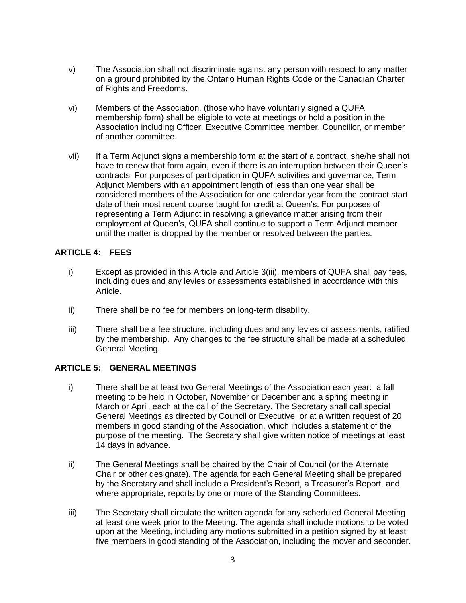- v) The Association shall not discriminate against any person with respect to any matter on a ground prohibited by the Ontario Human Rights Code or the Canadian Charter of Rights and Freedoms.
- vi) Members of the Association, (those who have voluntarily signed a QUFA membership form) shall be eligible to vote at meetings or hold a position in the Association including Officer, Executive Committee member, Councillor, or member of another committee.
- vii) If a Term Adjunct signs a membership form at the start of a contract, she/he shall not have to renew that form again, even if there is an interruption between their Queen's contracts. For purposes of participation in QUFA activities and governance, Term Adjunct Members with an appointment length of less than one year shall be considered members of the Association for one calendar year from the contract start date of their most recent course taught for credit at Queen's. For purposes of representing a Term Adjunct in resolving a grievance matter arising from their employment at Queen's, QUFA shall continue to support a Term Adjunct member until the matter is dropped by the member or resolved between the parties.

# **ARTICLE 4: FEES**

- i) Except as provided in this Article and Article 3(iii), members of QUFA shall pay fees, including dues and any levies or assessments established in accordance with this Article.
- ii) There shall be no fee for members on long-term disability.
- iii) There shall be a fee structure, including dues and any levies or assessments, ratified by the membership. Any changes to the fee structure shall be made at a scheduled General Meeting.

## **ARTICLE 5: GENERAL MEETINGS**

- i) There shall be at least two General Meetings of the Association each year: a fall meeting to be held in October, November or December and a spring meeting in March or April, each at the call of the Secretary. The Secretary shall call special General Meetings as directed by Council or Executive, or at a written request of 20 members in good standing of the Association, which includes a statement of the purpose of the meeting. The Secretary shall give written notice of meetings at least 14 days in advance.
- ii) The General Meetings shall be chaired by the Chair of Council (or the Alternate Chair or other designate). The agenda for each General Meeting shall be prepared by the Secretary and shall include a President's Report, a Treasurer's Report, and where appropriate, reports by one or more of the Standing Committees.
- iii) The Secretary shall circulate the written agenda for any scheduled General Meeting at least one week prior to the Meeting. The agenda shall include motions to be voted upon at the Meeting, including any motions submitted in a petition signed by at least five members in good standing of the Association, including the mover and seconder.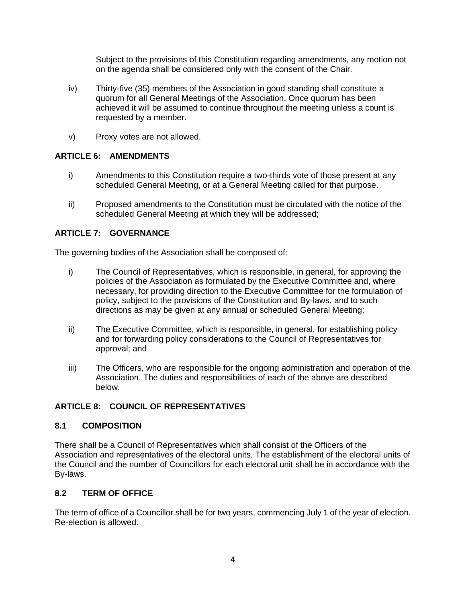Subject to the provisions of this Constitution regarding amendments, any motion not on the agenda shall be considered only with the consent of the Chair.

- iv) Thirty-five (35) members of the Association in good standing shall constitute a quorum for all General Meetings of the Association. Once quorum has been achieved it will be assumed to continue throughout the meeting unless a count is requested by a member.
- v) Proxy votes are not allowed.

# **ARTICLE 6: AMENDMENTS**

- i) Amendments to this Constitution require a two-thirds vote of those present at any scheduled General Meeting, or at a General Meeting called for that purpose.
- ii) Proposed amendments to the Constitution must be circulated with the notice of the scheduled General Meeting at which they will be addressed;

# **ARTICLE 7: GOVERNANCE**

The governing bodies of the Association shall be composed of:

- i) The Council of Representatives, which is responsible, in general, for approving the policies of the Association as formulated by the Executive Committee and, where necessary, for providing direction to the Executive Committee for the formulation of policy, subject to the provisions of the Constitution and By-laws, and to such directions as may be given at any annual or scheduled General Meeting;
- ii) The Executive Committee, which is responsible, in general, for establishing policy and for forwarding policy considerations to the Council of Representatives for approval; and
- iii) The Officers, who are responsible for the ongoing administration and operation of the Association. The duties and responsibilities of each of the above are described below.

# **ARTICLE 8: COUNCIL OF REPRESENTATIVES**

## **8.1 COMPOSITION**

There shall be a Council of Representatives which shall consist of the Officers of the Association and representatives of the electoral units. The establishment of the electoral units of the Council and the number of Councillors for each electoral unit shall be in accordance with the By-laws.

## **8.2 TERM OF OFFICE**

The term of office of a Councillor shall be for two years, commencing July 1 of the year of election. Re-election is allowed.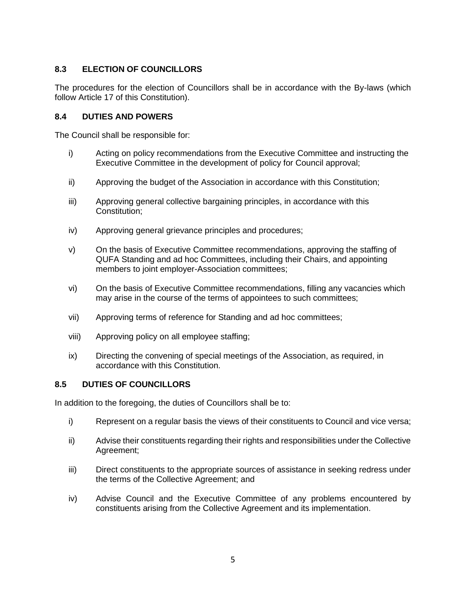# **8.3 ELECTION OF COUNCILLORS**

The procedures for the election of Councillors shall be in accordance with the By-laws (which follow Article 17 of this Constitution).

# **8.4 DUTIES AND POWERS**

The Council shall be responsible for:

- i) Acting on policy recommendations from the Executive Committee and instructing the Executive Committee in the development of policy for Council approval;
- ii) Approving the budget of the Association in accordance with this Constitution;
- iii) Approving general collective bargaining principles, in accordance with this Constitution;
- iv) Approving general grievance principles and procedures;
- v) On the basis of Executive Committee recommendations, approving the staffing of QUFA Standing and ad hoc Committees, including their Chairs, and appointing members to joint employer-Association committees;
- vi) On the basis of Executive Committee recommendations, filling any vacancies which may arise in the course of the terms of appointees to such committees;
- vii) Approving terms of reference for Standing and ad hoc committees;
- viii) Approving policy on all employee staffing;
- ix) Directing the convening of special meetings of the Association, as required, in accordance with this Constitution.

# **8.5 DUTIES OF COUNCILLORS**

In addition to the foregoing, the duties of Councillors shall be to:

- i) Represent on a regular basis the views of their constituents to Council and vice versa;
- ii) Advise their constituents regarding their rights and responsibilities under the Collective Agreement;
- iii) Direct constituents to the appropriate sources of assistance in seeking redress under the terms of the Collective Agreement; and
- iv) Advise Council and the Executive Committee of any problems encountered by constituents arising from the Collective Agreement and its implementation.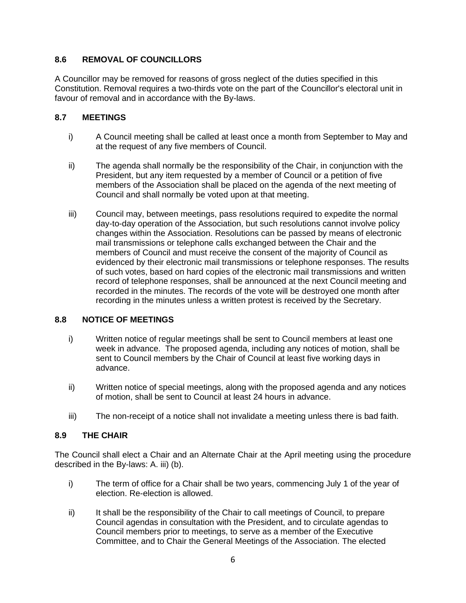# **8.6 REMOVAL OF COUNCILLORS**

A Councillor may be removed for reasons of gross neglect of the duties specified in this Constitution. Removal requires a two-thirds vote on the part of the Councillor's electoral unit in favour of removal and in accordance with the By-laws.

# **8.7 MEETINGS**

- i) A Council meeting shall be called at least once a month from September to May and at the request of any five members of Council.
- ii) The agenda shall normally be the responsibility of the Chair, in conjunction with the President, but any item requested by a member of Council or a petition of five members of the Association shall be placed on the agenda of the next meeting of Council and shall normally be voted upon at that meeting.
- iii) Council may, between meetings, pass resolutions required to expedite the normal day-to-day operation of the Association, but such resolutions cannot involve policy changes within the Association. Resolutions can be passed by means of electronic mail transmissions or telephone calls exchanged between the Chair and the members of Council and must receive the consent of the majority of Council as evidenced by their electronic mail transmissions or telephone responses. The results of such votes, based on hard copies of the electronic mail transmissions and written record of telephone responses, shall be announced at the next Council meeting and recorded in the minutes. The records of the vote will be destroyed one month after recording in the minutes unless a written protest is received by the Secretary.

# **8.8 NOTICE OF MEETINGS**

- i) Written notice of regular meetings shall be sent to Council members at least one week in advance. The proposed agenda, including any notices of motion, shall be sent to Council members by the Chair of Council at least five working days in advance.
- ii) Written notice of special meetings, along with the proposed agenda and any notices of motion, shall be sent to Council at least 24 hours in advance.
- iii) The non-receipt of a notice shall not invalidate a meeting unless there is bad faith.

# **8.9 THE CHAIR**

The Council shall elect a Chair and an Alternate Chair at the April meeting using the procedure described in the By-laws: A. iii) (b).

- i) The term of office for a Chair shall be two years, commencing July 1 of the year of election. Re-election is allowed.
- ii) It shall be the responsibility of the Chair to call meetings of Council, to prepare Council agendas in consultation with the President, and to circulate agendas to Council members prior to meetings, to serve as a member of the Executive Committee, and to Chair the General Meetings of the Association. The elected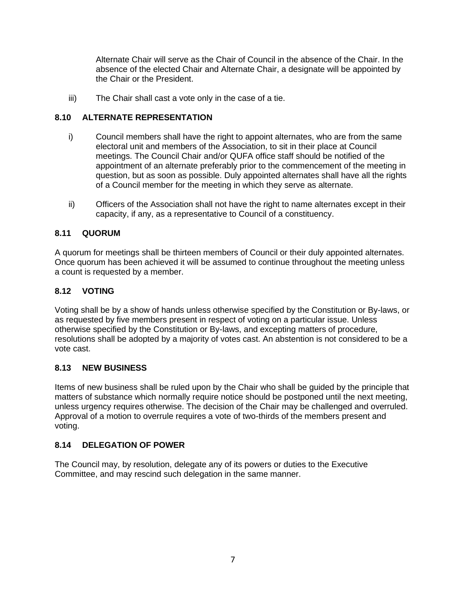Alternate Chair will serve as the Chair of Council in the absence of the Chair. In the absence of the elected Chair and Alternate Chair, a designate will be appointed by the Chair or the President.

iii) The Chair shall cast a vote only in the case of a tie.

# **8.10 ALTERNATE REPRESENTATION**

- i) Council members shall have the right to appoint alternates, who are from the same electoral unit and members of the Association, to sit in their place at Council meetings. The Council Chair and/or QUFA office staff should be notified of the appointment of an alternate preferably prior to the commencement of the meeting in question, but as soon as possible. Duly appointed alternates shall have all the rights of a Council member for the meeting in which they serve as alternate.
- ii) Officers of the Association shall not have the right to name alternates except in their capacity, if any, as a representative to Council of a constituency.

# **8.11 QUORUM**

A quorum for meetings shall be thirteen members of Council or their duly appointed alternates. Once quorum has been achieved it will be assumed to continue throughout the meeting unless a count is requested by a member.

# **8.12 VOTING**

Voting shall be by a show of hands unless otherwise specified by the Constitution or By-laws, or as requested by five members present in respect of voting on a particular issue. Unless otherwise specified by the Constitution or By-laws, and excepting matters of procedure, resolutions shall be adopted by a majority of votes cast. An abstention is not considered to be a vote cast.

# **8.13 NEW BUSINESS**

Items of new business shall be ruled upon by the Chair who shall be guided by the principle that matters of substance which normally require notice should be postponed until the next meeting, unless urgency requires otherwise. The decision of the Chair may be challenged and overruled. Approval of a motion to overrule requires a vote of two-thirds of the members present and voting.

# **8.14 DELEGATION OF POWER**

The Council may, by resolution, delegate any of its powers or duties to the Executive Committee, and may rescind such delegation in the same manner.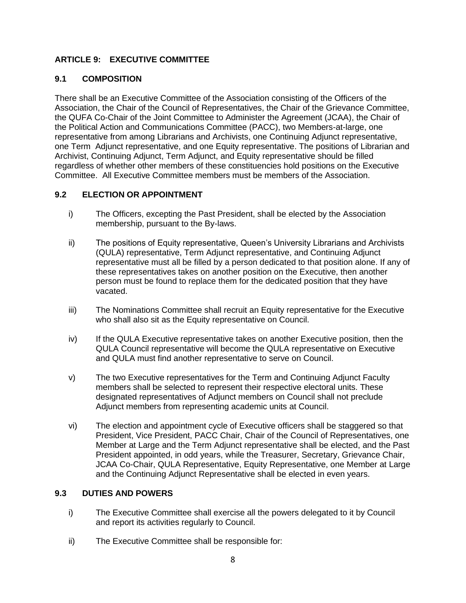# **ARTICLE 9: EXECUTIVE COMMITTEE**

# **9.1 COMPOSITION**

There shall be an Executive Committee of the Association consisting of the Officers of the Association, the Chair of the Council of Representatives, the Chair of the Grievance Committee, the QUFA Co-Chair of the Joint Committee to Administer the Agreement (JCAA), the Chair of the Political Action and Communications Committee (PACC), two Members-at-large, one representative from among Librarians and Archivists, one Continuing Adjunct representative, one Term Adjunct representative, and one Equity representative. The positions of Librarian and Archivist, Continuing Adjunct, Term Adjunct, and Equity representative should be filled regardless of whether other members of these constituencies hold positions on the Executive Committee. All Executive Committee members must be members of the Association.

# **9.2 ELECTION OR APPOINTMENT**

- i) The Officers, excepting the Past President, shall be elected by the Association membership, pursuant to the By-laws.
- ii) The positions of Equity representative, Queen's University Librarians and Archivists (QULA) representative, Term Adjunct representative, and Continuing Adjunct representative must all be filled by a person dedicated to that position alone. If any of these representatives takes on another position on the Executive, then another person must be found to replace them for the dedicated position that they have vacated.
- iii) The Nominations Committee shall recruit an Equity representative for the Executive who shall also sit as the Equity representative on Council.
- iv) If the QULA Executive representative takes on another Executive position, then the QULA Council representative will become the QULA representative on Executive and QULA must find another representative to serve on Council.
- v) The two Executive representatives for the Term and Continuing Adjunct Faculty members shall be selected to represent their respective electoral units. These designated representatives of Adjunct members on Council shall not preclude Adjunct members from representing academic units at Council.
- vi) The election and appointment cycle of Executive officers shall be staggered so that President, Vice President, PACC Chair, Chair of the Council of Representatives, one Member at Large and the Term Adjunct representative shall be elected, and the Past President appointed, in odd years, while the Treasurer, Secretary, Grievance Chair, JCAA Co-Chair, QULA Representative, Equity Representative, one Member at Large and the Continuing Adjunct Representative shall be elected in even years.

## **9.3 DUTIES AND POWERS**

- i) The Executive Committee shall exercise all the powers delegated to it by Council and report its activities regularly to Council.
- ii) The Executive Committee shall be responsible for: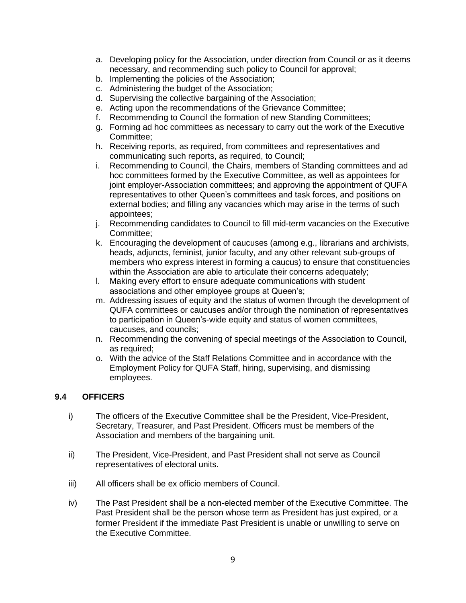- a. Developing policy for the Association, under direction from Council or as it deems necessary, and recommending such policy to Council for approval;
- b. Implementing the policies of the Association;
- c. Administering the budget of the Association;
- d. Supervising the collective bargaining of the Association;
- e. Acting upon the recommendations of the Grievance Committee;
- f. Recommending to Council the formation of new Standing Committees;
- g. Forming ad hoc committees as necessary to carry out the work of the Executive Committee;
- h. Receiving reports, as required, from committees and representatives and communicating such reports, as required, to Council;
- i. Recommending to Council, the Chairs, members of Standing committees and ad hoc committees formed by the Executive Committee, as well as appointees for joint employer-Association committees; and approving the appointment of QUFA representatives to other Queen's committees and task forces, and positions on external bodies; and filling any vacancies which may arise in the terms of such appointees;
- j. Recommending candidates to Council to fill mid-term vacancies on the Executive Committee;
- k. Encouraging the development of caucuses (among e.g., librarians and archivists, heads, adjuncts, feminist, junior faculty, and any other relevant sub-groups of members who express interest in forming a caucus) to ensure that constituencies within the Association are able to articulate their concerns adequately;
- l. Making every effort to ensure adequate communications with student associations and other employee groups at Queen's;
- m. Addressing issues of equity and the status of women through the development of QUFA committees or caucuses and/or through the nomination of representatives to participation in Queen's-wide equity and status of women committees, caucuses, and councils;
- n. Recommending the convening of special meetings of the Association to Council, as required;
- o. With the advice of the Staff Relations Committee and in accordance with the Employment Policy for QUFA Staff, hiring, supervising, and dismissing employees.

## **9.4 OFFICERS**

- i) The officers of the Executive Committee shall be the President, Vice-President, Secretary, Treasurer, and Past President. Officers must be members of the Association and members of the bargaining unit.
- ii) The President, Vice-President, and Past President shall not serve as Council representatives of electoral units.
- iii) All officers shall be ex officio members of Council.
- iv) The Past President shall be a non-elected member of the Executive Committee. The Past President shall be the person whose term as President has just expired, or a former President if the immediate Past President is unable or unwilling to serve on the Executive Committee.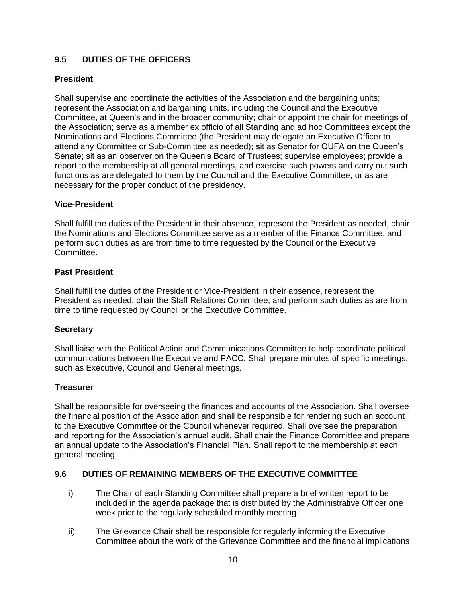# **9.5 DUTIES OF THE OFFICERS**

## **President**

Shall supervise and coordinate the activities of the Association and the bargaining units; represent the Association and bargaining units, including the Council and the Executive Committee, at Queen's and in the broader community; chair or appoint the chair for meetings of the Association; serve as a member ex officio of all Standing and ad hoc Committees except the Nominations and Elections Committee (the President may delegate an Executive Officer to attend any Committee or Sub-Committee as needed); sit as Senator for QUFA on the Queen's Senate; sit as an observer on the Queen's Board of Trustees; supervise employees; provide a report to the membership at all general meetings, and exercise such powers and carry out such functions as are delegated to them by the Council and the Executive Committee, or as are necessary for the proper conduct of the presidency.

#### **Vice-President**

Shall fulfill the duties of the President in their absence, represent the President as needed, chair the Nominations and Elections Committee serve as a member of the Finance Committee, and perform such duties as are from time to time requested by the Council or the Executive Committee.

#### **Past President**

Shall fulfill the duties of the President or Vice-President in their absence, represent the President as needed, chair the Staff Relations Committee, and perform such duties as are from time to time requested by Council or the Executive Committee.

#### **Secretary**

Shall liaise with the Political Action and Communications Committee to help coordinate political communications between the Executive and PACC. Shall prepare minutes of specific meetings, such as Executive, Council and General meetings.

#### **Treasurer**

Shall be responsible for overseeing the finances and accounts of the Association. Shall oversee the financial position of the Association and shall be responsible for rendering such an account to the Executive Committee or the Council whenever required. Shall oversee the preparation and reporting for the Association's annual audit. Shall chair the Finance Committee and prepare an annual update to the Association's Financial Plan. Shall report to the membership at each general meeting.

## **9.6 DUTIES OF REMAINING MEMBERS OF THE EXECUTIVE COMMITTEE**

- i) The Chair of each Standing Committee shall prepare a brief written report to be included in the agenda package that is distributed by the Administrative Officer one week prior to the regularly scheduled monthly meeting.
- ii) The Grievance Chair shall be responsible for regularly informing the Executive Committee about the work of the Grievance Committee and the financial implications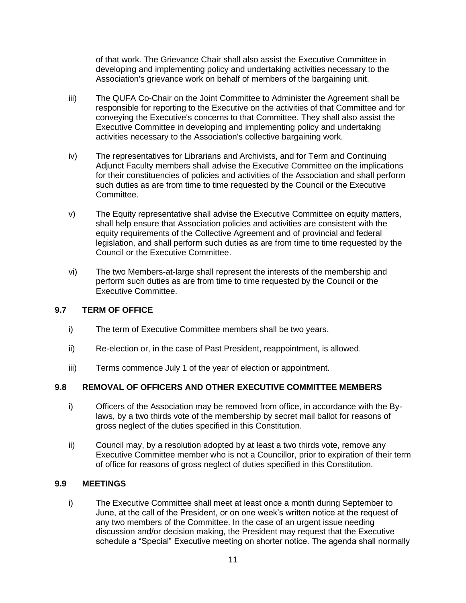of that work. The Grievance Chair shall also assist the Executive Committee in developing and implementing policy and undertaking activities necessary to the Association's grievance work on behalf of members of the bargaining unit.

- iii) The QUFA Co-Chair on the Joint Committee to Administer the Agreement shall be responsible for reporting to the Executive on the activities of that Committee and for conveying the Executive's concerns to that Committee. They shall also assist the Executive Committee in developing and implementing policy and undertaking activities necessary to the Association's collective bargaining work.
- iv) The representatives for Librarians and Archivists, and for Term and Continuing Adjunct Faculty members shall advise the Executive Committee on the implications for their constituencies of policies and activities of the Association and shall perform such duties as are from time to time requested by the Council or the Executive Committee.
- v) The Equity representative shall advise the Executive Committee on equity matters, shall help ensure that Association policies and activities are consistent with the equity requirements of the Collective Agreement and of provincial and federal legislation, and shall perform such duties as are from time to time requested by the Council or the Executive Committee.
- vi) The two Members-at-large shall represent the interests of the membership and perform such duties as are from time to time requested by the Council or the Executive Committee.

## **9.7 TERM OF OFFICE**

- i) The term of Executive Committee members shall be two years.
- ii) Re-election or, in the case of Past President, reappointment, is allowed.
- iii) Terms commence July 1 of the year of election or appointment.

## **9.8 REMOVAL OF OFFICERS AND OTHER EXECUTIVE COMMITTEE MEMBERS**

- i) Officers of the Association may be removed from office, in accordance with the Bylaws, by a two thirds vote of the membership by secret mail ballot for reasons of gross neglect of the duties specified in this Constitution.
- ii) Council may, by a resolution adopted by at least a two thirds vote, remove any Executive Committee member who is not a Councillor, prior to expiration of their term of office for reasons of gross neglect of duties specified in this Constitution.

## **9.9 MEETINGS**

i) The Executive Committee shall meet at least once a month during September to June, at the call of the President, or on one week's written notice at the request of any two members of the Committee. In the case of an urgent issue needing discussion and/or decision making, the President may request that the Executive schedule a "Special" Executive meeting on shorter notice. The agenda shall normally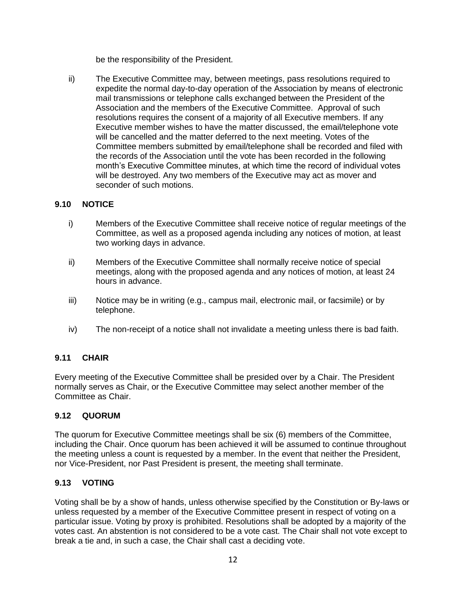be the responsibility of the President.

ii) The Executive Committee may, between meetings, pass resolutions required to expedite the normal day-to-day operation of the Association by means of electronic mail transmissions or telephone calls exchanged between the President of the Association and the members of the Executive Committee. Approval of such resolutions requires the consent of a majority of all Executive members. If any Executive member wishes to have the matter discussed, the email/telephone vote will be cancelled and the matter deferred to the next meeting. Votes of the Committee members submitted by email/telephone shall be recorded and filed with the records of the Association until the vote has been recorded in the following month's Executive Committee minutes, at which time the record of individual votes will be destroyed. Any two members of the Executive may act as mover and seconder of such motions.

# **9.10 NOTICE**

- i) Members of the Executive Committee shall receive notice of regular meetings of the Committee, as well as a proposed agenda including any notices of motion, at least two working days in advance.
- ii) Members of the Executive Committee shall normally receive notice of special meetings, along with the proposed agenda and any notices of motion, at least 24 hours in advance.
- iii) Notice may be in writing (e.g., campus mail, electronic mail, or facsimile) or by telephone.
- iv) The non-receipt of a notice shall not invalidate a meeting unless there is bad faith.

## **9.11 CHAIR**

Every meeting of the Executive Committee shall be presided over by a Chair. The President normally serves as Chair, or the Executive Committee may select another member of the Committee as Chair.

## **9.12 QUORUM**

The quorum for Executive Committee meetings shall be six (6) members of the Committee, including the Chair. Once quorum has been achieved it will be assumed to continue throughout the meeting unless a count is requested by a member. In the event that neither the President, nor Vice-President, nor Past President is present, the meeting shall terminate.

## **9.13 VOTING**

Voting shall be by a show of hands, unless otherwise specified by the Constitution or By-laws or unless requested by a member of the Executive Committee present in respect of voting on a particular issue. Voting by proxy is prohibited. Resolutions shall be adopted by a majority of the votes cast. An abstention is not considered to be a vote cast. The Chair shall not vote except to break a tie and, in such a case, the Chair shall cast a deciding vote.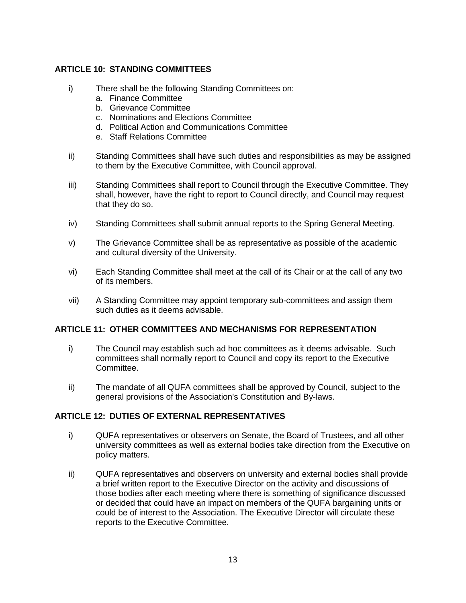# **ARTICLE 10: STANDING COMMITTEES**

- i) There shall be the following Standing Committees on:
	- a. Finance Committee
	- b. Grievance Committee
	- c. Nominations and Elections Committee
	- d. Political Action and Communications Committee
	- e. Staff Relations Committee
- ii) Standing Committees shall have such duties and responsibilities as may be assigned to them by the Executive Committee, with Council approval.
- iii) Standing Committees shall report to Council through the Executive Committee. They shall, however, have the right to report to Council directly, and Council may request that they do so.
- iv) Standing Committees shall submit annual reports to the Spring General Meeting.
- v) The Grievance Committee shall be as representative as possible of the academic and cultural diversity of the University.
- vi) Each Standing Committee shall meet at the call of its Chair or at the call of any two of its members.
- vii) A Standing Committee may appoint temporary sub-committees and assign them such duties as it deems advisable.

## **ARTICLE 11: OTHER COMMITTEES AND MECHANISMS FOR REPRESENTATION**

- i) The Council may establish such ad hoc committees as it deems advisable. Such committees shall normally report to Council and copy its report to the Executive Committee.
- ii) The mandate of all QUFA committees shall be approved by Council, subject to the general provisions of the Association's Constitution and By-laws.

## **ARTICLE 12: DUTIES OF EXTERNAL REPRESENTATIVES**

- i) QUFA representatives or observers on Senate, the Board of Trustees, and all other university committees as well as external bodies take direction from the Executive on policy matters.
- ii) QUFA representatives and observers on university and external bodies shall provide a brief written report to the Executive Director on the activity and discussions of those bodies after each meeting where there is something of significance discussed or decided that could have an impact on members of the QUFA bargaining units or could be of interest to the Association. The Executive Director will circulate these reports to the Executive Committee.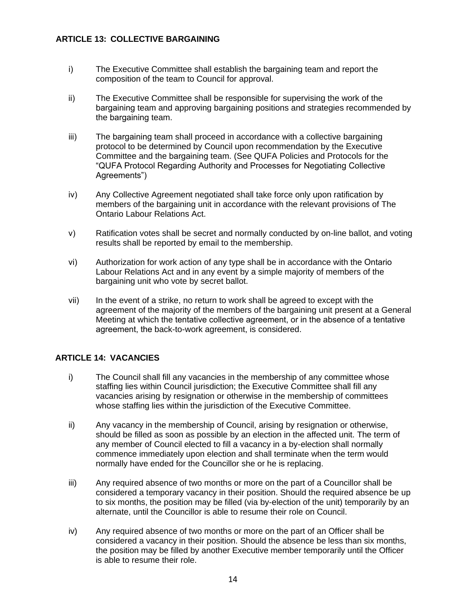# **ARTICLE 13: COLLECTIVE BARGAINING**

- i) The Executive Committee shall establish the bargaining team and report the composition of the team to Council for approval.
- ii) The Executive Committee shall be responsible for supervising the work of the bargaining team and approving bargaining positions and strategies recommended by the bargaining team.
- iii) The bargaining team shall proceed in accordance with a collective bargaining protocol to be determined by Council upon recommendation by the Executive Committee and the bargaining team. (See QUFA Policies and Protocols for the "QUFA Protocol Regarding Authority and Processes for Negotiating Collective Agreements")
- iv) Any Collective Agreement negotiated shall take force only upon ratification by members of the bargaining unit in accordance with the relevant provisions of The Ontario Labour Relations Act.
- v) Ratification votes shall be secret and normally conducted by on-line ballot, and voting results shall be reported by email to the membership.
- vi) Authorization for work action of any type shall be in accordance with the Ontario Labour Relations Act and in any event by a simple majority of members of the bargaining unit who vote by secret ballot.
- vii) In the event of a strike, no return to work shall be agreed to except with the agreement of the majority of the members of the bargaining unit present at a General Meeting at which the tentative collective agreement, or in the absence of a tentative agreement, the back-to-work agreement, is considered.

# **ARTICLE 14: VACANCIES**

- i) The Council shall fill any vacancies in the membership of any committee whose staffing lies within Council jurisdiction; the Executive Committee shall fill any vacancies arising by resignation or otherwise in the membership of committees whose staffing lies within the jurisdiction of the Executive Committee.
- ii) Any vacancy in the membership of Council, arising by resignation or otherwise, should be filled as soon as possible by an election in the affected unit. The term of any member of Council elected to fill a vacancy in a by-election shall normally commence immediately upon election and shall terminate when the term would normally have ended for the Councillor she or he is replacing.
- iii) Any required absence of two months or more on the part of a Councillor shall be considered a temporary vacancy in their position. Should the required absence be up to six months, the position may be filled (via by-election of the unit) temporarily by an alternate, until the Councillor is able to resume their role on Council.
- iv) Any required absence of two months or more on the part of an Officer shall be considered a vacancy in their position. Should the absence be less than six months, the position may be filled by another Executive member temporarily until the Officer is able to resume their role.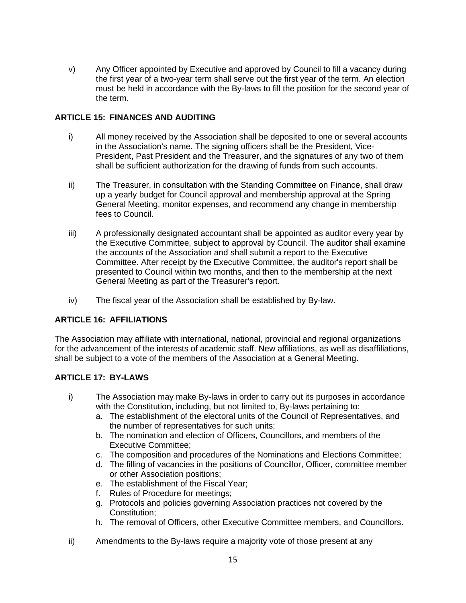v) Any Officer appointed by Executive and approved by Council to fill a vacancy during the first year of a two-year term shall serve out the first year of the term. An election must be held in accordance with the By-laws to fill the position for the second year of the term.

# **ARTICLE 15: FINANCES AND AUDITING**

- i) All money received by the Association shall be deposited to one or several accounts in the Association's name. The signing officers shall be the President, Vice-President, Past President and the Treasurer, and the signatures of any two of them shall be sufficient authorization for the drawing of funds from such accounts.
- ii) The Treasurer, in consultation with the Standing Committee on Finance, shall draw up a yearly budget for Council approval and membership approval at the Spring General Meeting, monitor expenses, and recommend any change in membership fees to Council.
- iii) A professionally designated accountant shall be appointed as auditor every year by the Executive Committee, subject to approval by Council. The auditor shall examine the accounts of the Association and shall submit a report to the Executive Committee. After receipt by the Executive Committee, the auditor's report shall be presented to Council within two months, and then to the membership at the next General Meeting as part of the Treasurer's report.
- iv) The fiscal year of the Association shall be established by By-law.

# **ARTICLE 16: AFFILIATIONS**

The Association may affiliate with international, national, provincial and regional organizations for the advancement of the interests of academic staff. New affiliations, as well as disaffiliations, shall be subject to a vote of the members of the Association at a General Meeting.

# **ARTICLE 17: BY-LAWS**

- i) The Association may make By-laws in order to carry out its purposes in accordance with the Constitution, including, but not limited to, By-laws pertaining to:
	- a. The establishment of the electoral units of the Council of Representatives, and the number of representatives for such units;
	- b. The nomination and election of Officers, Councillors, and members of the Executive Committee;
	- c. The composition and procedures of the Nominations and Elections Committee;
	- d. The filling of vacancies in the positions of Councillor, Officer, committee member or other Association positions;
	- e. The establishment of the Fiscal Year;
	- f. Rules of Procedure for meetings;
	- g. Protocols and policies governing Association practices not covered by the Constitution;
	- h. The removal of Officers, other Executive Committee members, and Councillors.
- ii) Amendments to the By-laws require a majority vote of those present at any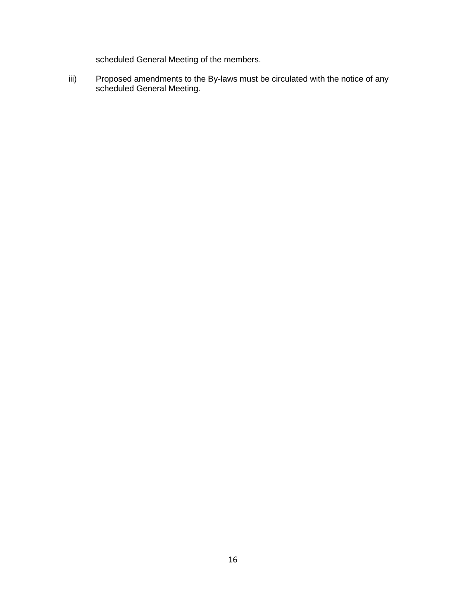scheduled General Meeting of the members.

iii) Proposed amendments to the By-laws must be circulated with the notice of any scheduled General Meeting.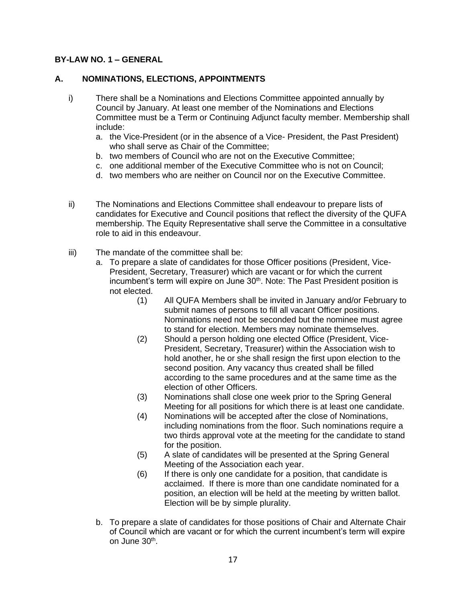## **BY-LAW NO. 1 – GENERAL**

## **A. NOMINATIONS, ELECTIONS, APPOINTMENTS**

- i) There shall be a Nominations and Elections Committee appointed annually by Council by January. At least one member of the Nominations and Elections Committee must be a Term or Continuing Adjunct faculty member. Membership shall include:
	- a. the Vice-President (or in the absence of a Vice- President, the Past President) who shall serve as Chair of the Committee;
	- b. two members of Council who are not on the Executive Committee;
	- c. one additional member of the Executive Committee who is not on Council;
	- d. two members who are neither on Council nor on the Executive Committee.
- ii) The Nominations and Elections Committee shall endeavour to prepare lists of candidates for Executive and Council positions that reflect the diversity of the QUFA membership. The Equity Representative shall serve the Committee in a consultative role to aid in this endeavour.
- iii) The mandate of the committee shall be:
	- a. To prepare a slate of candidates for those Officer positions (President, Vice-President, Secretary, Treasurer) which are vacant or for which the current incumbent's term will expire on June 30<sup>th</sup>. Note: The Past President position is not elected.
		- (1) All QUFA Members shall be invited in January and/or February to submit names of persons to fill all vacant Officer positions. Nominations need not be seconded but the nominee must agree to stand for election. Members may nominate themselves.
		- (2) Should a person holding one elected Office (President, Vice-President, Secretary, Treasurer) within the Association wish to hold another, he or she shall resign the first upon election to the second position. Any vacancy thus created shall be filled according to the same procedures and at the same time as the election of other Officers.
		- (3) Nominations shall close one week prior to the Spring General Meeting for all positions for which there is at least one candidate.
		- (4) Nominations will be accepted after the close of Nominations, including nominations from the floor. Such nominations require a two thirds approval vote at the meeting for the candidate to stand for the position.
		- (5) A slate of candidates will be presented at the Spring General Meeting of the Association each year.
		- (6) If there is only one candidate for a position, that candidate is acclaimed. If there is more than one candidate nominated for a position, an election will be held at the meeting by written ballot. Election will be by simple plurality.
	- b. To prepare a slate of candidates for those positions of Chair and Alternate Chair of Council which are vacant or for which the current incumbent's term will expire on June 30<sup>th</sup>.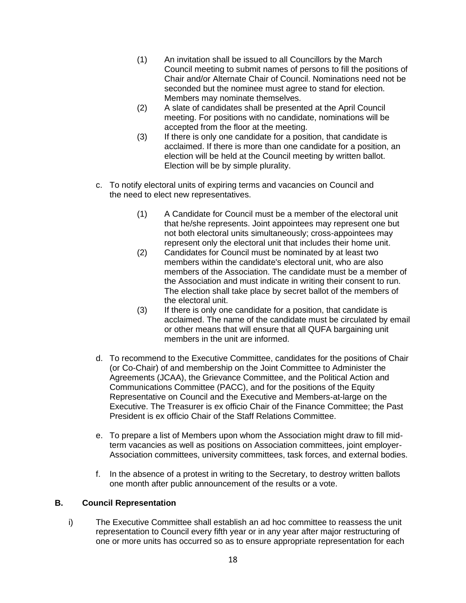- (1) An invitation shall be issued to all Councillors by the March Council meeting to submit names of persons to fill the positions of Chair and/or Alternate Chair of Council. Nominations need not be seconded but the nominee must agree to stand for election. Members may nominate themselves.
- (2) A slate of candidates shall be presented at the April Council meeting. For positions with no candidate, nominations will be accepted from the floor at the meeting.
- (3) If there is only one candidate for a position, that candidate is acclaimed. If there is more than one candidate for a position, an election will be held at the Council meeting by written ballot. Election will be by simple plurality.
- c. To notify electoral units of expiring terms and vacancies on Council and the need to elect new representatives.
	- (1) A Candidate for Council must be a member of the electoral unit that he/she represents. Joint appointees may represent one but not both electoral units simultaneously; cross-appointees may represent only the electoral unit that includes their home unit.
	- (2) Candidates for Council must be nominated by at least two members within the candidate's electoral unit, who are also members of the Association. The candidate must be a member of the Association and must indicate in writing their consent to run. The election shall take place by secret ballot of the members of the electoral unit.
	- (3) If there is only one candidate for a position, that candidate is acclaimed. The name of the candidate must be circulated by email or other means that will ensure that all QUFA bargaining unit members in the unit are informed.
- d. To recommend to the Executive Committee, candidates for the positions of Chair (or Co-Chair) of and membership on the Joint Committee to Administer the Agreements (JCAA), the Grievance Committee, and the Political Action and Communications Committee (PACC), and for the positions of the Equity Representative on Council and the Executive and Members-at-large on the Executive. The Treasurer is ex officio Chair of the Finance Committee; the Past President is ex officio Chair of the Staff Relations Committee.
- e. To prepare a list of Members upon whom the Association might draw to fill midterm vacancies as well as positions on Association committees, joint employer-Association committees, university committees, task forces, and external bodies.
- f. In the absence of a protest in writing to the Secretary, to destroy written ballots one month after public announcement of the results or a vote.

## **B. Council Representation**

i) The Executive Committee shall establish an ad hoc committee to reassess the unit representation to Council every fifth year or in any year after major restructuring of one or more units has occurred so as to ensure appropriate representation for each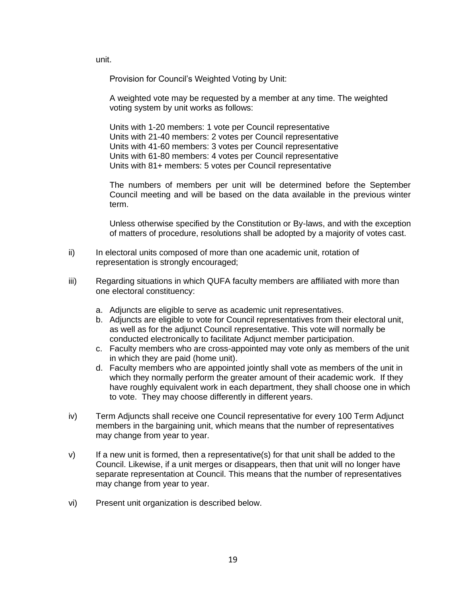unit.

Provision for Council's Weighted Voting by Unit:

A weighted vote may be requested by a member at any time. The weighted voting system by unit works as follows:

Units with 1-20 members: 1 vote per Council representative Units with 21-40 members: 2 votes per Council representative Units with 41-60 members: 3 votes per Council representative Units with 61-80 members: 4 votes per Council representative Units with 81+ members: 5 votes per Council representative

The numbers of members per unit will be determined before the September Council meeting and will be based on the data available in the previous winter term.

Unless otherwise specified by the Constitution or By-laws, and with the exception of matters of procedure, resolutions shall be adopted by a majority of votes cast.

- ii) In electoral units composed of more than one academic unit, rotation of representation is strongly encouraged;
- iii) Regarding situations in which QUFA faculty members are affiliated with more than one electoral constituency:
	- a. Adjuncts are eligible to serve as academic unit representatives.
	- b. Adjuncts are eligible to vote for Council representatives from their electoral unit, as well as for the adjunct Council representative. This vote will normally be conducted electronically to facilitate Adjunct member participation.
	- c. Faculty members who are cross-appointed may vote only as members of the unit in which they are paid (home unit).
	- d. Faculty members who are appointed jointly shall vote as members of the unit in which they normally perform the greater amount of their academic work. If they have roughly equivalent work in each department, they shall choose one in which to vote. They may choose differently in different years.
- iv) Term Adjuncts shall receive one Council representative for every 100 Term Adjunct members in the bargaining unit, which means that the number of representatives may change from year to year.
- $v$ ) If a new unit is formed, then a representative(s) for that unit shall be added to the Council. Likewise, if a unit merges or disappears, then that unit will no longer have separate representation at Council. This means that the number of representatives may change from year to year.
- vi) Present unit organization is described below.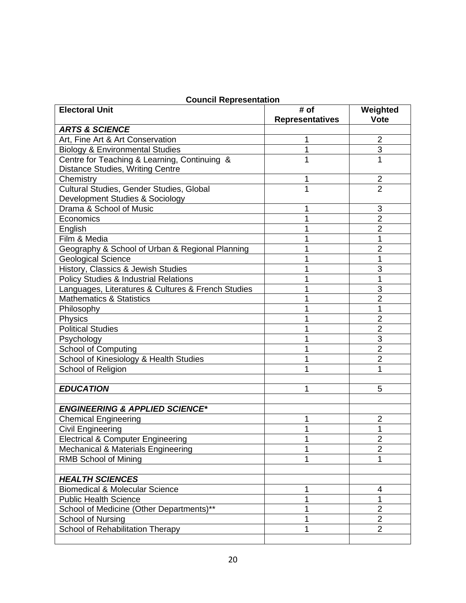|  | <b>Council Representation</b> |
|--|-------------------------------|
|--|-------------------------------|

| <b>Electoral Unit</b>                              | # of                   | Weighted       |
|----------------------------------------------------|------------------------|----------------|
|                                                    | <b>Representatives</b> | <b>Vote</b>    |
| <b>ARTS &amp; SCIENCE</b>                          |                        |                |
| Art, Fine Art & Art Conservation                   |                        | 2              |
| <b>Biology &amp; Environmental Studies</b>         |                        | 3              |
| Centre for Teaching & Learning, Continuing &       |                        | 1              |
| <b>Distance Studies, Writing Centre</b>            |                        |                |
| Chemistry                                          | 1                      | $\overline{2}$ |
| Cultural Studies, Gender Studies, Global           | 1                      | $\overline{2}$ |
| Development Studies & Sociology                    |                        |                |
| Drama & School of Music                            |                        | 3              |
| Economics                                          | 1                      | $\overline{2}$ |
| English                                            | 1                      | $\overline{2}$ |
| Film & Media                                       |                        | 1              |
| Geography & School of Urban & Regional Planning    |                        | $\overline{2}$ |
| <b>Geological Science</b>                          |                        | 1              |
| History, Classics & Jewish Studies                 |                        | 3              |
| <b>Policy Studies &amp; Industrial Relations</b>   |                        | 1              |
| Languages, Literatures & Cultures & French Studies |                        | 3              |
| Mathematics & Statistics                           | 1                      | $\overline{2}$ |
| Philosophy                                         | 1                      | 1              |
| Physics                                            |                        | $\overline{2}$ |
| <b>Political Studies</b>                           |                        | $\overline{2}$ |
| Psychology                                         |                        | 3              |
| <b>School of Computing</b>                         | 1                      | $\overline{2}$ |
| School of Kinesiology & Health Studies             |                        | $\overline{2}$ |
| School of Religion                                 |                        | 1              |
|                                                    |                        |                |
| <b>EDUCATION</b>                                   | 1                      | 5              |
|                                                    |                        |                |
| <b>ENGINEERING &amp; APPLIED SCIENCE*</b>          |                        |                |
| <b>Chemical Engineering</b>                        | 1                      | $\overline{2}$ |
| <b>Civil Engineering</b>                           |                        | 1              |
| <b>Electrical &amp; Computer Engineering</b>       | 1                      | $\overline{2}$ |
| Mechanical & Materials Engineering                 | 1                      | $\overline{2}$ |
| <b>RMB School of Mining</b>                        | 1                      | 1              |
| <b>HEALTH SCIENCES</b>                             |                        |                |
| <b>Biomedical &amp; Molecular Science</b>          | 1                      | 4              |
| <b>Public Health Science</b>                       | 1                      | 1              |
| School of Medicine (Other Departments)**           | 1                      | $\overline{2}$ |
| School of Nursing                                  | 1                      | $\overline{2}$ |
| School of Rehabilitation Therapy                   | 1                      | $\overline{2}$ |
|                                                    |                        |                |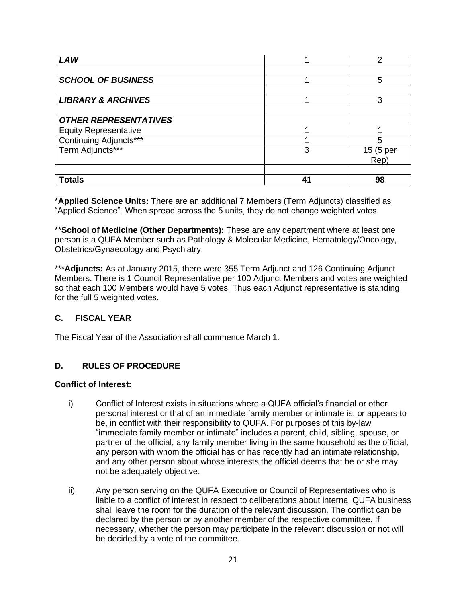| <b>LAW</b>                    |   | 2         |
|-------------------------------|---|-----------|
|                               |   |           |
| <b>SCHOOL OF BUSINESS</b>     |   | 5         |
|                               |   |           |
| <b>LIBRARY &amp; ARCHIVES</b> |   | 3         |
|                               |   |           |
| <b>OTHER REPRESENTATIVES</b>  |   |           |
| <b>Equity Representative</b>  |   |           |
| Continuing Adjuncts***        |   | 5         |
| Term Adjuncts***              | 3 | 15 (5 per |
|                               |   | Rep)      |
|                               |   |           |
| <b>Totals</b>                 |   | 98        |

\***Applied Science Units:** There are an additional 7 Members (Term Adjuncts) classified as "Applied Science". When spread across the 5 units, they do not change weighted votes.

\*\* School of Medicine (Other Departments): These are any department where at least one person is a QUFA Member such as Pathology & Molecular Medicine, Hematology/Oncology, Obstetrics/Gynaecology and Psychiatry.

\*\*\***Adjuncts:** As at January 2015, there were 355 Term Adjunct and 126 Continuing Adjunct Members. There is 1 Council Representative per 100 Adjunct Members and votes are weighted so that each 100 Members would have 5 votes. Thus each Adjunct representative is standing for the full 5 weighted votes.

## **C. FISCAL YEAR**

The Fiscal Year of the Association shall commence March 1.

## **D. RULES OF PROCEDURE**

#### **Conflict of Interest:**

- i) Conflict of Interest exists in situations where a QUFA official's financial or other personal interest or that of an immediate family member or intimate is, or appears to be, in conflict with their responsibility to QUFA. For purposes of this by-law "immediate family member or intimate" includes a parent, child, sibling, spouse, or partner of the official, any family member living in the same household as the official, any person with whom the official has or has recently had an intimate relationship, and any other person about whose interests the official deems that he or she may not be adequately objective.
- ii) Any person serving on the QUFA Executive or Council of Representatives who is liable to a conflict of interest in respect to deliberations about internal QUFA business shall leave the room for the duration of the relevant discussion. The conflict can be declared by the person or by another member of the respective committee. If necessary, whether the person may participate in the relevant discussion or not will be decided by a vote of the committee.